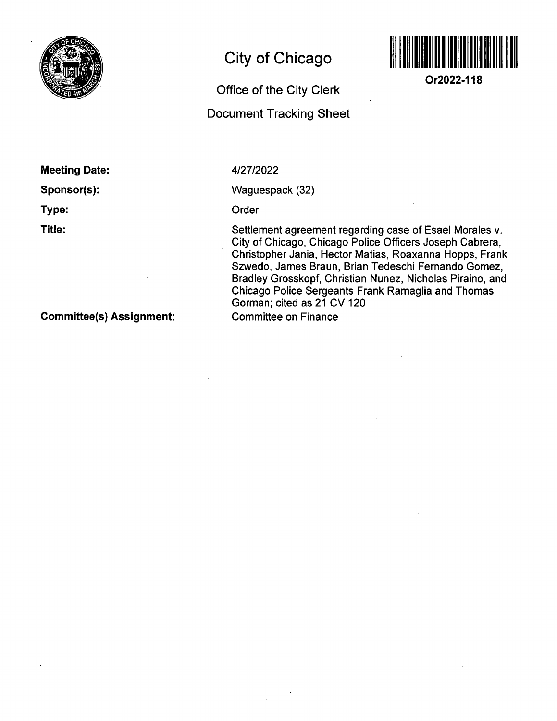

## **City of Chicago**



**Or2022-118** 

**Office of the City Clerk** 

## **Document Tracking Sheet**

**Meeting Date:** 

**Sponsor(s):** 

**Type:** 

**Title:** 

4/27/2022

Waguespack (32)

Order

Settlement agreement regarding case of Esael Morales v. City of Chicago, Chicago Police Officers Joseph Cabrera, Christopher Jania, Hector Matias, Roaxanna Hopps, Frank Szwedo, James Braun, Brian Tedeschi Fernando Gomez, Bradley Grosskopf, Christian Nunez, Nicholas Piraino, and Chicago Police Sergeants Frank Ramaglia and Thomas Gorman; cited as 21 CV 120 Committee on Finance

**Committee(s) Assignment:**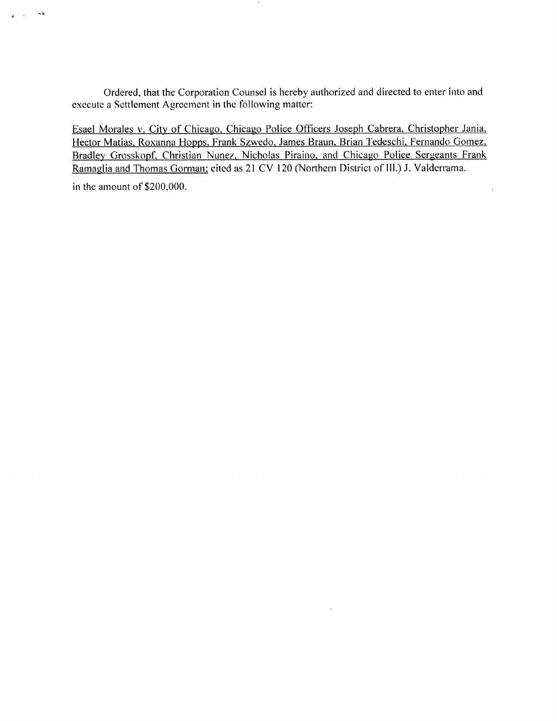Ordered, that the Corporation Counsel is hereby authorized and directed to enter into and execute a Settlement Agreement in thc following matter:

Esael Morales v. City of Chicago, Chicago Police Officers Joseph Cabrera, Christopher Jania. Hector Matias. Roxanna Hopps. Frank Szwedo, James Braun. Brian Tedeschi. Fernando Gomez. Bradley Grosskopf. Christian Nunez. Nicholas Piraino. and Chicago Police Sergeants Frank Ramaglia and Thomas Gorman: cited as 21 CV 120 (Northern District of 111.) J. Valdcrrama.

 $\ddot{\phantom{a}}$ 

in the amount of \$200,000.

 $\sim$   $\sim$ 

 $\frac{1}{2}$  .  $\frac{1}{2}$